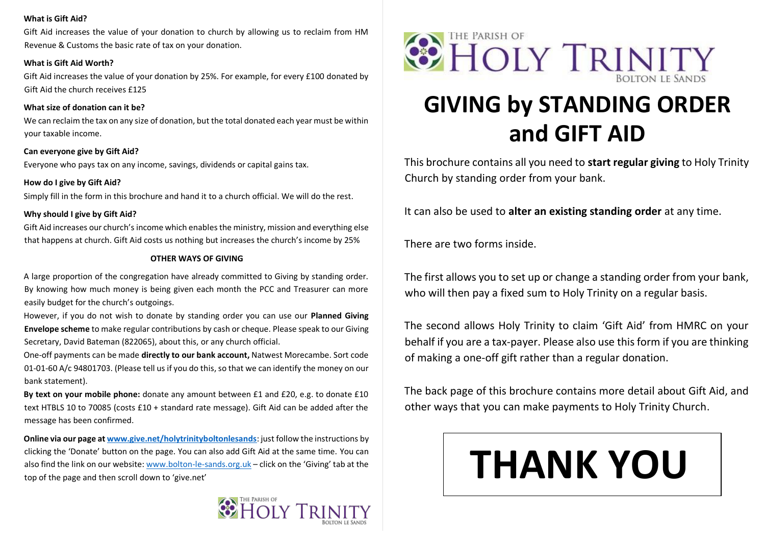### **What is Gift Aid?**

Gift Aid increases the value of your donation to church by allowing us to reclaim from HM Revenue & Customs the basic rate of tax on your donation.

### **What is Gift Aid Worth?**

Gift Aid increases the value of your donation by 25%. For example, for every £100 donated by Gift Aid the church receives £125

### **What size of donation can it be?**

We can reclaim the tax on any size of donation, but the total donated each year must be within your taxable income.

**Can everyone give by Gift Aid?**  Everyone who pays tax on any income, savings, dividends or capital gains tax.

### **How do I give by Gift Aid?**

Simply fill in the form in this brochure and hand it to a church official. We will do the rest.

### **Why should I give by Gift Aid?**

Gift Aid increases our church's income which enables the ministry, mission and everything else that happens at church. Gift Aid costs us nothing but increases the church's income by 25%

### **OTHER WAYS OF GIVING**

A large proportion of the congregation have already committed to Giving by standing order. By knowing how much money is being given each month the PCC and Treasurer can more easily budget for the church's outgoings.

However, if you do not wish to donate by standing order you can use our **Planned Giving Envelope scheme** to make regular contributions by cash or cheque. Please speak to our Giving Secretary, David Bateman (822065), about this, or any church official.

One-off payments can be made **directly to our bank account,** Natwest Morecambe. Sort code 01-01-60 A/c 94801703. (Please tell us if you do this, so that we can identify the money on our bank statement).

**By text on your mobile phone:** donate any amount between £1 and £20, e.g. to donate £10 text HTBLS 10 to 70085 (costs £10 + standard rate message). Gift Aid can be added after the message has been confirmed.

**Online via our page at [www.give.net/holytrinityboltonlesands](http://www.give.net/holytrinityboltonlesands)**: just follow the instructions by clicking the 'Donate' button on the page. You can also add Gift Aid at the same time. You can also find the link on our website: [www.bolton-le-sands.org.uk](http://www.bolton-le-sands.org.uk/) - click on the 'Giving' tab at the top of the page and then scroll down to 'give.net'





# **GIVING by STANDING ORDER and GIFT AID**

This brochure contains all you need to **start regular giving** to Holy Trinity Church by standing order from your bank.

It can also be used to **alter an existing standing order** at any time.

There are two forms inside.

The first allows you to set up or change a standing order from your bank, who will then pay a fixed sum to Holy Trinity on a regular basis.

The second allows Holy Trinity to claim 'Gift Aid' from HMRC on your behalf if you are a tax-payer. Please also use this form if you are thinking of making a one-off gift rather than a regular donation.

The back page of this brochure contains more detail about Gift Aid, and other ways that you can make payments to Holy Trinity Church.

# **THANK YOU**